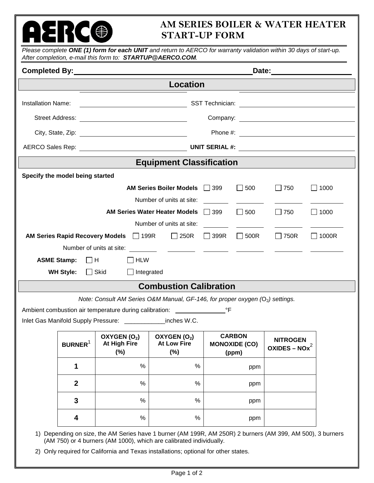## **AM SERIES BOILER & WATER HEATER START-UP FORM**

|                                                                  |                                 |                                                                                                                        |                                                      | Date: ______________________                   |                                            |              |  |
|------------------------------------------------------------------|---------------------------------|------------------------------------------------------------------------------------------------------------------------|------------------------------------------------------|------------------------------------------------|--------------------------------------------|--------------|--|
|                                                                  |                                 |                                                                                                                        | <b>Location</b>                                      |                                                |                                            |              |  |
| <b>Installation Name:</b>                                        |                                 | <u> Alexandro Alexandro Alexandro Alexandro Alexandro Alexandro Alexandro Alexandro Alexandro Alexandro Alexandro </u> |                                                      |                                                |                                            |              |  |
|                                                                  |                                 |                                                                                                                        |                                                      |                                                |                                            |              |  |
|                                                                  |                                 |                                                                                                                        |                                                      |                                                |                                            |              |  |
|                                                                  |                                 |                                                                                                                        |                                                      |                                                |                                            |              |  |
|                                                                  |                                 |                                                                                                                        | <b>Equipment Classification</b>                      |                                                | <u> 1999 - Johann Barn, mars ann an t-</u> |              |  |
|                                                                  | Specify the model being started |                                                                                                                        |                                                      |                                                |                                            |              |  |
|                                                                  |                                 |                                                                                                                        | <b>AM Series Boiler Models</b>                       | $\Box$ 500<br>$\Box$ 399                       | $\Box$ 750                                 | $\Box$ 1000  |  |
|                                                                  |                                 |                                                                                                                        | Number of units at site:                             |                                                |                                            |              |  |
|                                                                  |                                 |                                                                                                                        | <b>AM Series Water Heater Models</b>                 | $\Box$ 399<br>$\Box$ 500                       | $\Box$ 750                                 | $\Box$ 1000  |  |
| Number of units at site:                                         |                                 |                                                                                                                        |                                                      |                                                |                                            |              |  |
| AM Series Rapid Recovery Models 199R<br>Number of units at site: |                                 |                                                                                                                        | $\Box$ 250R                                          | $\Box$ 500R<br>$\Box$ 399R                     | $\Box$ 750R                                | $\Box$ 1000R |  |
| <b>ASME Stamp:</b>                                               |                                 | $\Box$ H<br>$\Box$ HLW                                                                                                 |                                                      |                                                |                                            |              |  |
|                                                                  | <b>WH Style:</b>                | $\Box$ Skid<br>$\Box$ Integrated                                                                                       |                                                      |                                                |                                            |              |  |
|                                                                  |                                 |                                                                                                                        | <b>Combustion Calibration</b>                        |                                                |                                            |              |  |
|                                                                  |                                 | Note: Consult AM Series O&M Manual, GF-146, for proper oxygen ( $O2$ ) settings.                                       |                                                      |                                                |                                            |              |  |
|                                                                  |                                 |                                                                                                                        |                                                      |                                                |                                            |              |  |
|                                                                  |                                 | Inlet Gas Manifold Supply Pressure: ______________inches W.C.                                                          |                                                      |                                                |                                            |              |  |
|                                                                  | <b>BURNER</b> <sup>1</sup>      | OXYGEN(O <sub>2</sub> )<br>At High Fire<br>$(\%)$                                                                      | OXYGEN(O <sub>2</sub> )<br><b>At Low Fire</b><br>(%) | <b>CARBON</b><br><b>MONOXIDE (CO)</b><br>(ppm) | <b>NITROGEN</b><br>OXIDES – $NOx^2$        |              |  |
|                                                                  | 1                               | %                                                                                                                      | %                                                    |                                                | ppm                                        |              |  |
|                                                                  | $\mathbf{2}$                    | $\%$                                                                                                                   | $\%$                                                 |                                                | ppm                                        |              |  |
|                                                                  | 3                               | %                                                                                                                      | $\%$                                                 |                                                | ppm                                        |              |  |
|                                                                  | 4                               | $\%$                                                                                                                   | $\%$                                                 |                                                | ppm                                        |              |  |

2) Only required for California and Texas installations; optional for other states.

**AERC®**